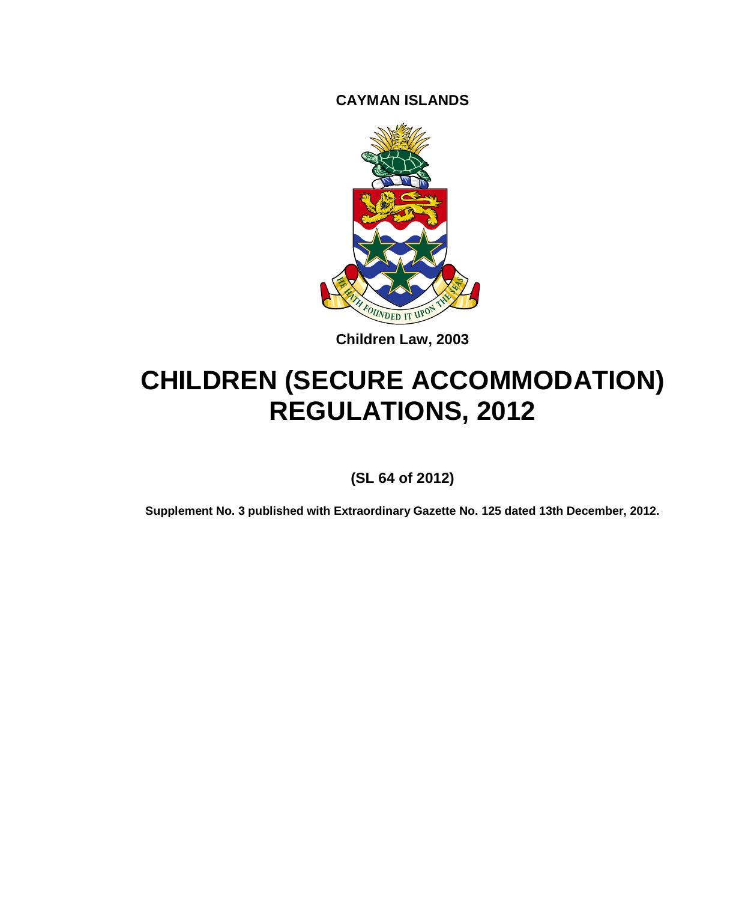**CAYMAN ISLANDS**



**Children Law, 2003**

# **CHILDREN (SECURE ACCOMMODATION) REGULATIONS, 2012**

**(SL 64 of 2012)**

**Supplement No. 3 published with Extraordinary Gazette No. 125 dated 13th December, 2012.**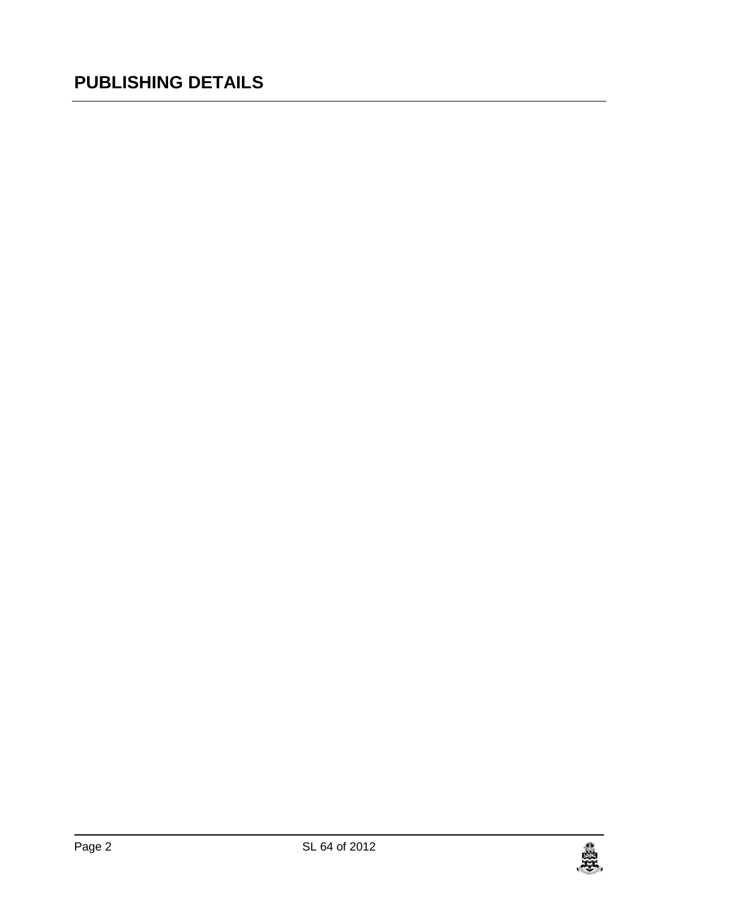# **PUBLISHING DETAILS**

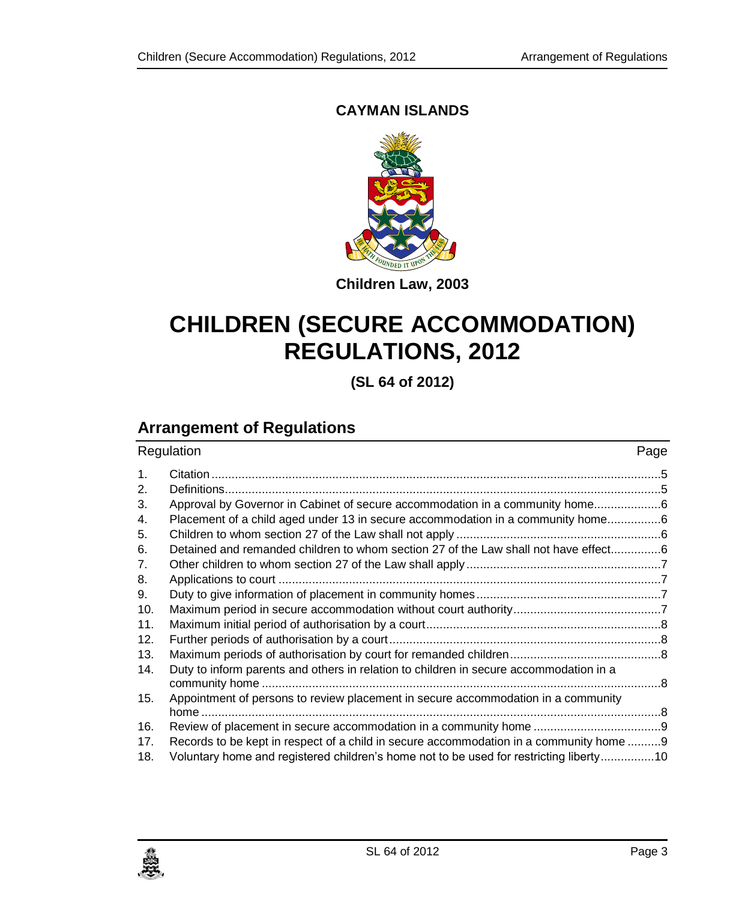### **CAYMAN ISLANDS**



**Children Law, 2003**

# **CHILDREN (SECURE ACCOMMODATION) REGULATIONS, 2012**

**(SL 64 of 2012)**

# **Arrangement of Regulations**

| Regulation     |                                                                                        | Page |  |
|----------------|----------------------------------------------------------------------------------------|------|--|
| $\mathbf{1}$ . |                                                                                        |      |  |
| 2.             |                                                                                        |      |  |
| 3.             | Approval by Governor in Cabinet of secure accommodation in a community home            |      |  |
| 4.             | Placement of a child aged under 13 in secure accommodation in a community home6        |      |  |
| 5.             |                                                                                        |      |  |
| 6.             | Detained and remanded children to whom section 27 of the Law shall not have effect6    |      |  |
| 7.             |                                                                                        |      |  |
| 8.             |                                                                                        |      |  |
| 9.             |                                                                                        |      |  |
| 10.            |                                                                                        |      |  |
| 11.            |                                                                                        |      |  |
| 12.            |                                                                                        |      |  |
| 13.            |                                                                                        |      |  |
| 14.            | Duty to inform parents and others in relation to children in secure accommodation in a |      |  |
|                |                                                                                        |      |  |
| 15.            | Appointment of persons to review placement in secure accommodation in a community      |      |  |
|                |                                                                                        |      |  |
| 16.            |                                                                                        |      |  |
| 17.            | Records to be kept in respect of a child in secure accommodation in a community home 9 |      |  |
| 18.            | Voluntary home and registered children's home not to be used for restricting liberty10 |      |  |

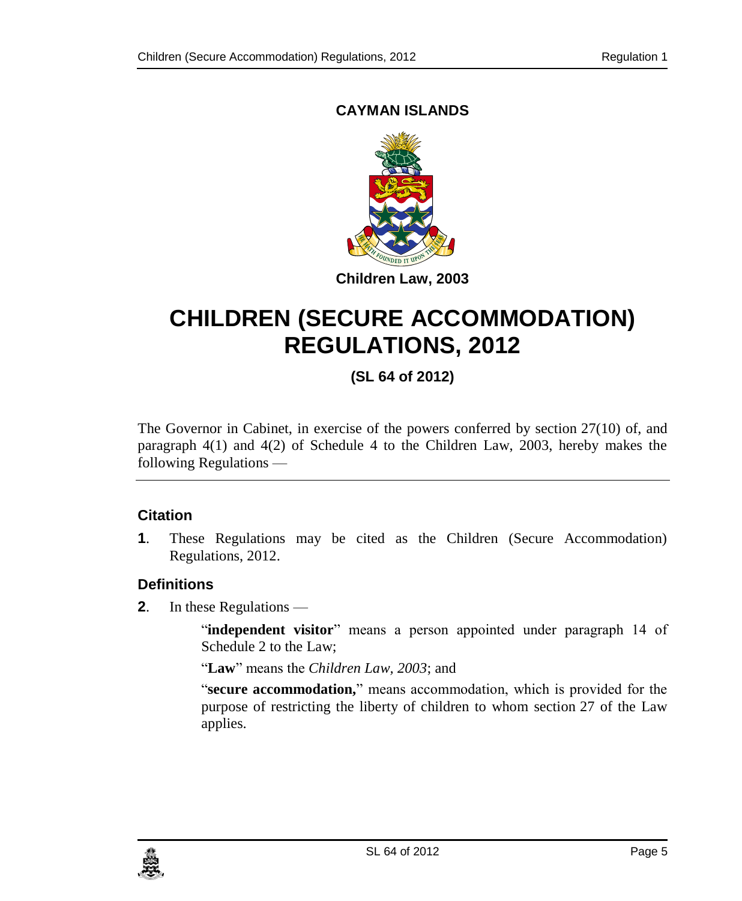### **CAYMAN ISLANDS**



# <span id="page-4-1"></span>**CHILDREN (SECURE ACCOMMODATION) REGULATIONS, 2012**

# **(SL 64 of 2012)**

The Governor in Cabinet, in exercise of the powers conferred by section 27(10) of, and paragraph 4(1) and 4(2) of Schedule 4 to the Children Law, 2003, hereby makes the following Regulations —

#### <span id="page-4-0"></span>**1. Citation**

**1**. These Regulations may be cited as the Children (Secure Accommodation) Regulations, 2012.

### **2. Definitions**

**2**. In these Regulations —

"**independent visitor**" means a person appointed under paragraph 14 of Schedule 2 to the Law;

"**Law**" means the *Children Law, 2003*; and

"**secure accommodation,**" means accommodation, which is provided for the purpose of restricting the liberty of children to whom section 27 of the Law applies.

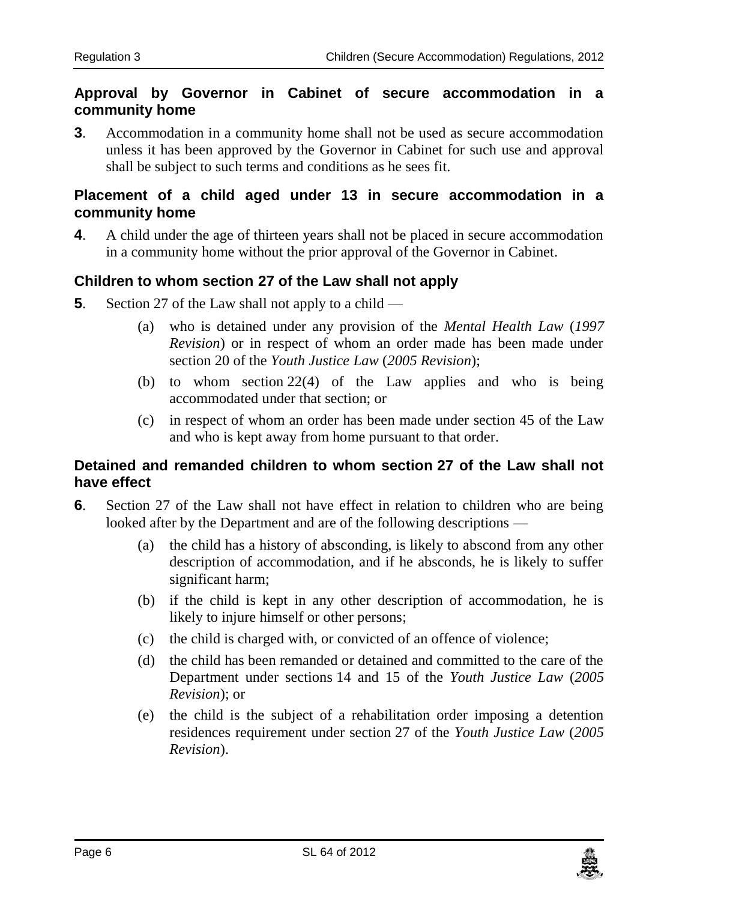#### <span id="page-5-0"></span>**3. Approval by Governor in Cabinet of secure accommodation in a community home**

**3**. Accommodation in a community home shall not be used as secure accommodation unless it has been approved by the Governor in Cabinet for such use and approval shall be subject to such terms and conditions as he sees fit.

#### **4. Placement of a child aged under 13 in secure accommodation in a community home**

**4**. A child under the age of thirteen years shall not be placed in secure accommodation in a community home without the prior approval of the Governor in Cabinet.

#### <span id="page-5-1"></span>**5. Children to whom section 27 of the Law shall not apply**

- **5**. Section 27 of the Law shall not apply to a child
	- (a) who is detained under any provision of the *Mental Health Law* (*1997 Revision*) or in respect of whom an order made has been made under section 20 of the *Youth Justice Law* (*2005 Revision*);
	- (b) to whom section 22(4) of the Law applies and who is being accommodated under that section; or
	- (c) in respect of whom an order has been made under section 45 of the Law and who is kept away from home pursuant to that order.

#### <span id="page-5-2"></span>**6. Detained and remanded children to whom section 27 of the Law shall not have effect**

- **6**. Section 27 of the Law shall not have effect in relation to children who are being looked after by the Department and are of the following descriptions —
	- (a) the child has a history of absconding, is likely to abscond from any other description of accommodation, and if he absconds, he is likely to suffer significant harm;
	- (b) if the child is kept in any other description of accommodation, he is likely to injure himself or other persons;
	- (c) the child is charged with, or convicted of an offence of violence;
	- (d) the child has been remanded or detained and committed to the care of the Department under sections 14 and 15 of the *Youth Justice Law* (*2005 Revision*); or
	- (e) the child is the subject of a rehabilitation order imposing a detention residences requirement under section 27 of the *Youth Justice Law* (*2005 Revision*).

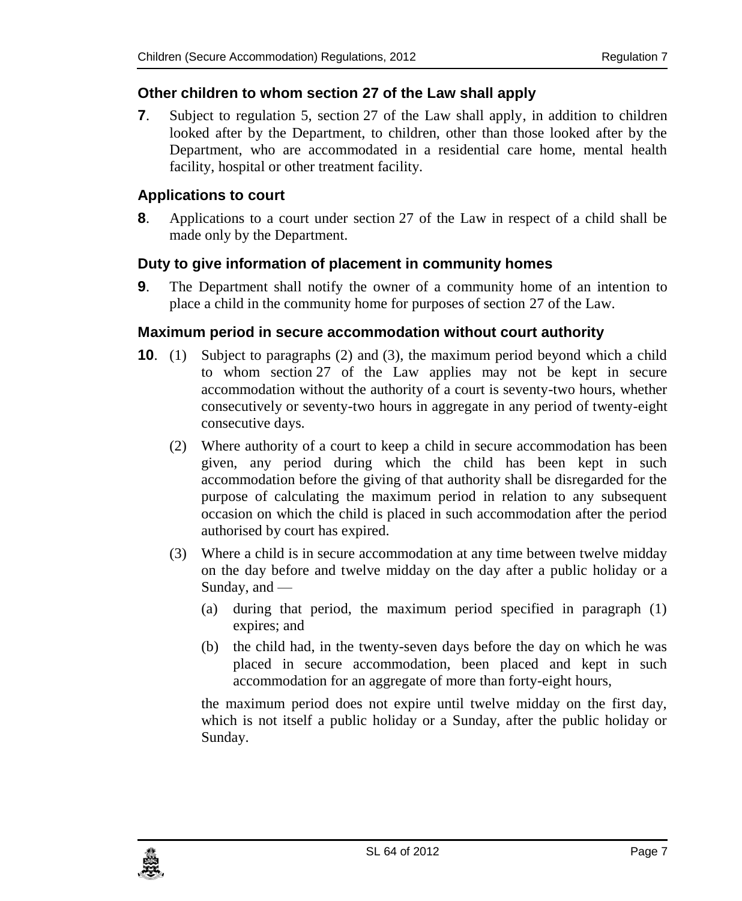#### <span id="page-6-0"></span>**7. Other children to whom section 27 of the Law shall apply**

**7**. Subject to regulation 5, section 27 of the Law shall apply, in addition to children looked after by the Department, to children, other than those looked after by the Department, who are accommodated in a residential care home, mental health facility, hospital or other treatment facility.

#### **8. Applications to court**

**8**. Applications to a court under section 27 of the Law in respect of a child shall be made only by the Department.

#### **9. Duty to give information of placement in community homes**

**9**. The Department shall notify the owner of a community home of an intention to place a child in the community home for purposes of section 27 of the Law.

#### **10. Maximum period in secure accommodation without court authority**

- **10**. (1) Subject to paragraphs (2) and (3), the maximum period beyond which a child to whom section 27 of the Law applies may not be kept in secure accommodation without the authority of a court is seventy-two hours, whether consecutively or seventy-two hours in aggregate in any period of twenty-eight consecutive days.
	- (2) Where authority of a court to keep a child in secure accommodation has been given, any period during which the child has been kept in such accommodation before the giving of that authority shall be disregarded for the purpose of calculating the maximum period in relation to any subsequent occasion on which the child is placed in such accommodation after the period authorised by court has expired.
	- (3) Where a child is in secure accommodation at any time between twelve midday on the day before and twelve midday on the day after a public holiday or a Sunday, and —
		- (a) during that period, the maximum period specified in paragraph (1) expires; and
		- (b) the child had, in the twenty-seven days before the day on which he was placed in secure accommodation, been placed and kept in such accommodation for an aggregate of more than forty-eight hours,

the maximum period does not expire until twelve midday on the first day, which is not itself a public holiday or a Sunday, after the public holiday or Sunday.

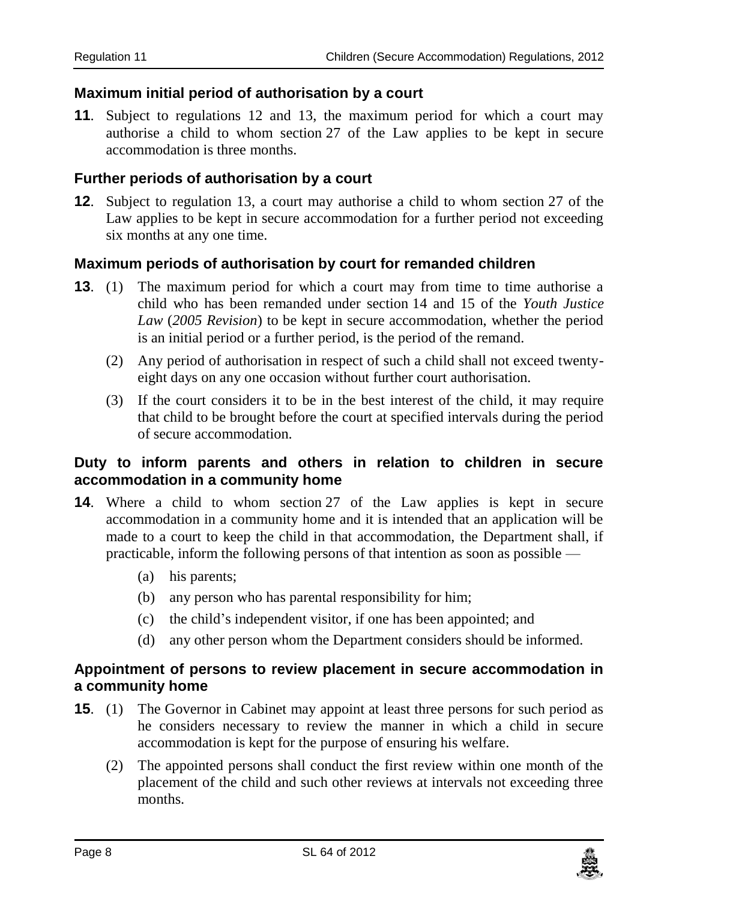#### <span id="page-7-0"></span>**11. Maximum initial period of authorisation by a court**

**11**. Subject to regulations 12 and 13, the maximum period for which a court may authorise a child to whom section 27 of the Law applies to be kept in secure accommodation is three months.

#### **12. Further periods of authorisation by a court**

**12**. Subject to regulation 13, a court may authorise a child to whom section 27 of the Law applies to be kept in secure accommodation for a further period not exceeding six months at any one time.

#### **13. Maximum periods of authorisation by court for remanded children**

- **13**. (1) The maximum period for which a court may from time to time authorise a child who has been remanded under section 14 and 15 of the *Youth Justice Law* (*2005 Revision*) to be kept in secure accommodation, whether the period is an initial period or a further period, is the period of the remand.
	- (2) Any period of authorisation in respect of such a child shall not exceed twentyeight days on any one occasion without further court authorisation.
	- (3) If the court considers it to be in the best interest of the child, it may require that child to be brought before the court at specified intervals during the period of secure accommodation.

#### **14. Duty to inform parents and others in relation to children in secure accommodation in a community home**

- **14**. Where a child to whom section 27 of the Law applies is kept in secure accommodation in a community home and it is intended that an application will be made to a court to keep the child in that accommodation, the Department shall, if practicable, inform the following persons of that intention as soon as possible —
	- (a) his parents;
	- (b) any person who has parental responsibility for him;
	- (c) the child's independent visitor, if one has been appointed; and
	- (d) any other person whom the Department considers should be informed.

#### **15. Appointment of persons to review placement in secure accommodation in a community home**

- **15**. (1) The Governor in Cabinet may appoint at least three persons for such period as he considers necessary to review the manner in which a child in secure accommodation is kept for the purpose of ensuring his welfare.
	- (2) The appointed persons shall conduct the first review within one month of the placement of the child and such other reviews at intervals not exceeding three months.

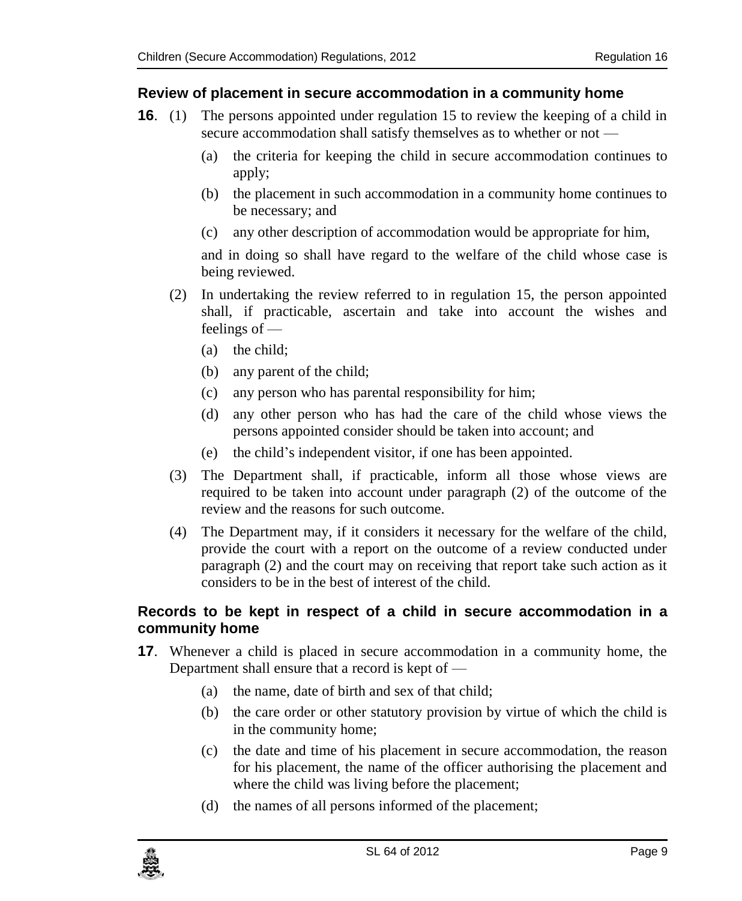#### <span id="page-8-0"></span>**16. Review of placement in secure accommodation in a community home**

- **16.** (1) The persons appointed under regulation 15 to review the keeping of a child in secure accommodation shall satisfy themselves as to whether or not —
	- (a) the criteria for keeping the child in secure accommodation continues to apply;
	- (b) the placement in such accommodation in a community home continues to be necessary; and
	- (c) any other description of accommodation would be appropriate for him,

and in doing so shall have regard to the welfare of the child whose case is being reviewed.

- (2) In undertaking the review referred to in regulation 15, the person appointed shall, if practicable, ascertain and take into account the wishes and feelings of —
	- (a) the child;
	- (b) any parent of the child;
	- (c) any person who has parental responsibility for him;
	- (d) any other person who has had the care of the child whose views the persons appointed consider should be taken into account; and
	- (e) the child's independent visitor, if one has been appointed.
- (3) The Department shall, if practicable, inform all those whose views are required to be taken into account under paragraph (2) of the outcome of the review and the reasons for such outcome.
- (4) The Department may, if it considers it necessary for the welfare of the child, provide the court with a report on the outcome of a review conducted under paragraph (2) and the court may on receiving that report take such action as it considers to be in the best of interest of the child.

#### **17. Records to be kept in respect of a child in secure accommodation in a community home**

- **17**. Whenever a child is placed in secure accommodation in a community home, the Department shall ensure that a record is kept of —
	- (a) the name, date of birth and sex of that child;
	- (b) the care order or other statutory provision by virtue of which the child is in the community home;
	- (c) the date and time of his placement in secure accommodation, the reason for his placement, the name of the officer authorising the placement and where the child was living before the placement;
	- (d) the names of all persons informed of the placement;

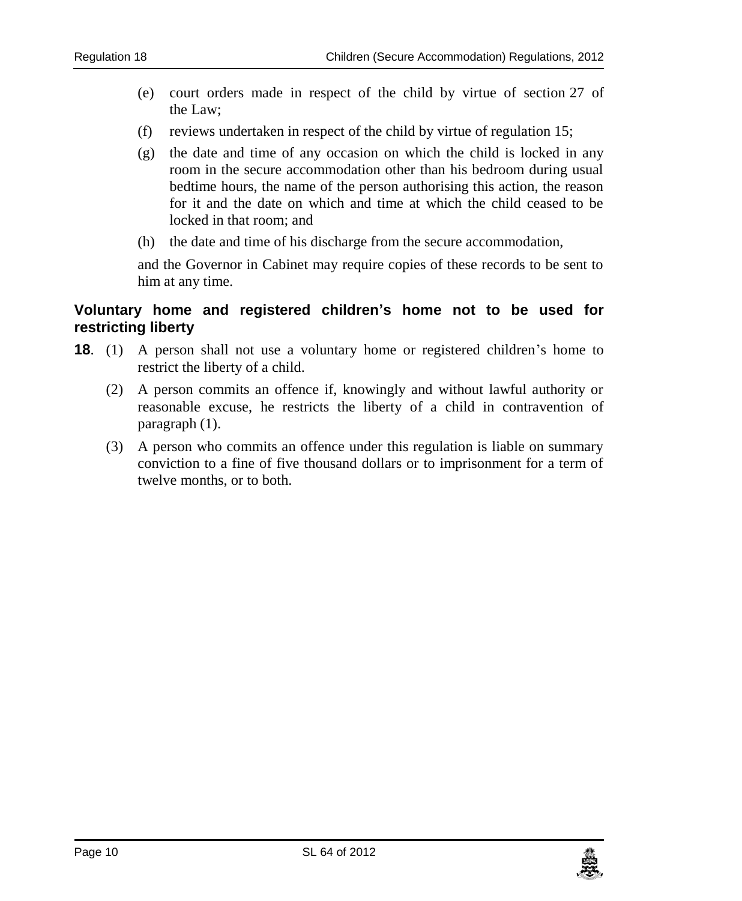- <span id="page-9-0"></span>(e) court orders made in respect of the child by virtue of section 27 of the Law;
- (f) reviews undertaken in respect of the child by virtue of regulation 15;
- (g) the date and time of any occasion on which the child is locked in any room in the secure accommodation other than his bedroom during usual bedtime hours, the name of the person authorising this action, the reason for it and the date on which and time at which the child ceased to be locked in that room; and
- (h) the date and time of his discharge from the secure accommodation,

and the Governor in Cabinet may require copies of these records to be sent to him at any time.

#### **18. Voluntary home and registered children's home not to be used for restricting liberty**

- **18**. (1) A person shall not use a voluntary home or registered children's home to restrict the liberty of a child.
	- (2) A person commits an offence if, knowingly and without lawful authority or reasonable excuse, he restricts the liberty of a child in contravention of paragraph (1).
	- (3) A person who commits an offence under this regulation is liable on summary conviction to a fine of five thousand dollars or to imprisonment for a term of twelve months, or to both.